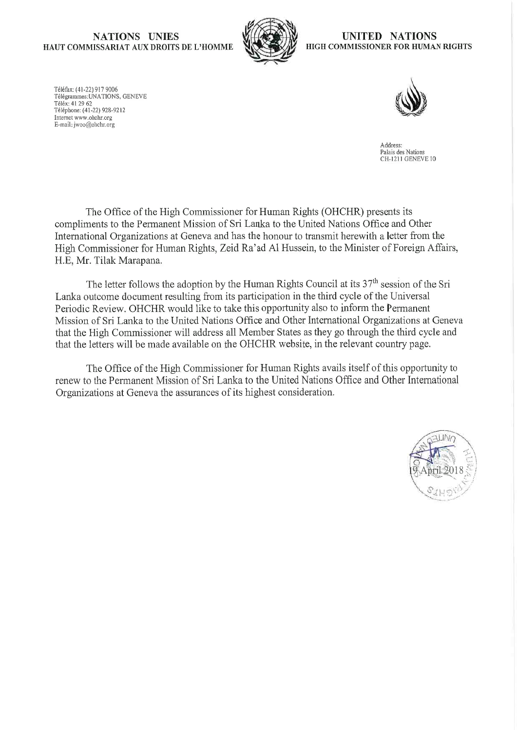### NATIONS UNIES HAUT COMMISSARIAT AUX DROITS DE L'HOMME



UNITED NATIONS HIGH COMMISSIONER FOR HUMAN RIGHTS

T616fax: (41-22) 917 9006 Télégrammes:UNATIONS, GENEV T616x: 41 29 62 Téléphone: (41-22) 928-921 Internet www.ohchr.org E-mail: jwoo@ohchr.org



Address: Palais des Nations CH-1211 GENEVE 10

The Office of the High Commissioner for Human Rights (OHCHR) presents its compliments to the Permanent Mission of Sri Lanka to the United Nations Office and Other International Organizations at Geneva and has the honour to transmit herewith a letter from the High Commissioner for Human Rights, Zeid Ra'ad Al Hussein, to the Minister of Foreign Affairs, H.E, Mr. Tilak Marapana.

The letter follows the adoption by the Human Rights Council at its 37<sup>th</sup> session of the Sri Lanka outcome document resulting from its participation in the third cycle of the Universal Periodic Review. OHCHR would like to take this opportunity also to inform the Permanent Mission of Sri Lanka to the United Nations Office and Other International Organizations at Geneva that the High Commissioner will address all Member States as they go through the third cycle and that the letters will be made available on the OHCHR website, in the relevant country page.

The Office of the High Commissioner for Human Rights avails itself of this opportunity to renew to the Permanent Mission of Sri Lanka to the United Nations Office and Other International Organizations at Geneva the assurances of its highest consideration.

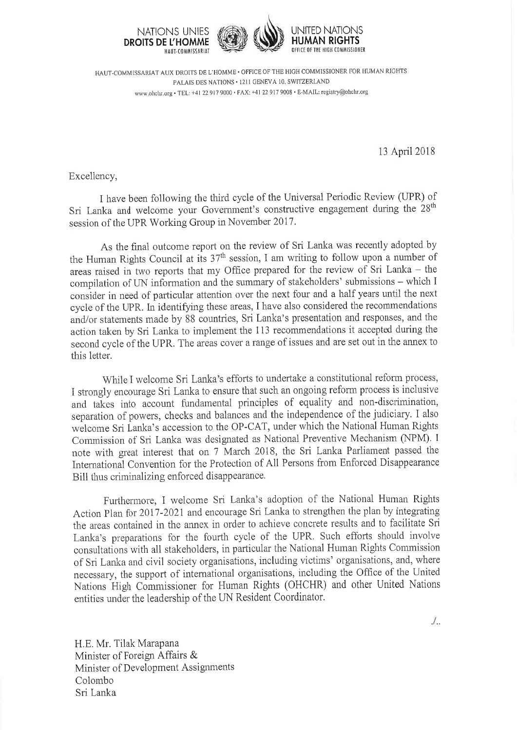

HAUT-COMMISSARIAT AUX DROITS DE L'HOMME · OFFICE OF THE HIGH COMMISSIONER FOR HUMAN RIGHTS PALAIS DES NATIONS · 1211 GENEVA 10, SWITZERLAND www.ohchr.org • TEL: +41 22 917 9000 • FAX: +41 22 917 9008 • E-MAIL: registry@ohchr.org

13 April 2018

Excellency,

I have been following the third cycle of the Universal Periodic Review (UPR) of Sri Lanka and welcome your Government's constructive engagement during the 28<sup>th</sup> session of the UPR Working Group in November 2017.

As the final outcome report on the review of Sri Lanka was recently adopted by the Human Rights Council at its 37<sup>th</sup> session, I am writing to follow upon a number of areas raised in two reports that my Office prepared for the review of Sri Lanka - the compilation of UN information and the summary of stakeholders' submissions - which I consider in need of particular attention over the next four and a half years until the next cycle of the UPR. In identifying these areas, I have also considered the recommendations and/or statements made by 88 countries, Sri Lanka's presentation and responses, and the action taken by Sri Lanka to implement the 113 recommendations it accepted during the second cycle of the UPR. The areas cover a range of issues and are set out in the annex to this letter.

While I welcome Sri Lanka's efforts to undertake a constitutional reform process, I strongly encourage Sri Lanka to ensure that such an ongoing reform process is inclusive and takes into account fundamental principles of equality and non-discrimination, separation of powers, checks and balances and the independence of the judiciary. I also welcome Sri Lanka's accession to the OP-CAT, under which the National Human Rights Commission of Sri Lanka was designated as National Preventive Mechanism (NPM). I note with great interest that on 7 March 2018, the Sri Lanka Parliament passed the International Convention for the Protection of All Persons from Enforced Disappearance Bill thus criminalizing enforced disappearance.

Furthermore, I welcome Sri Lanka's adoption of the National Human Rights Action Plan for 2017-2021 and encourage Sri Lanka to strengthen the plan by integrating the areas contained in the annex in order to achieve concrete results and to facilitate Sri Lanka's preparations for the fourth cycle of the UPR. Such efforts should involve consultations with all stakeholders, in particular the National Human Rights Commission of Sri Lanka and civil society organisations, including victims' organisations, and, where necessary, the support of international organisations, including the Office of the United Nations High Commissioner for Human Rights (OHCHR) and other United Nations entities under the leadership of the UN Resident Coordinator.

H.E. Mr. Tilak Marapana Minister of Foreign Affairs & Minister of Development Assignments Colombo Sri Lanka

 $\Lambda$ .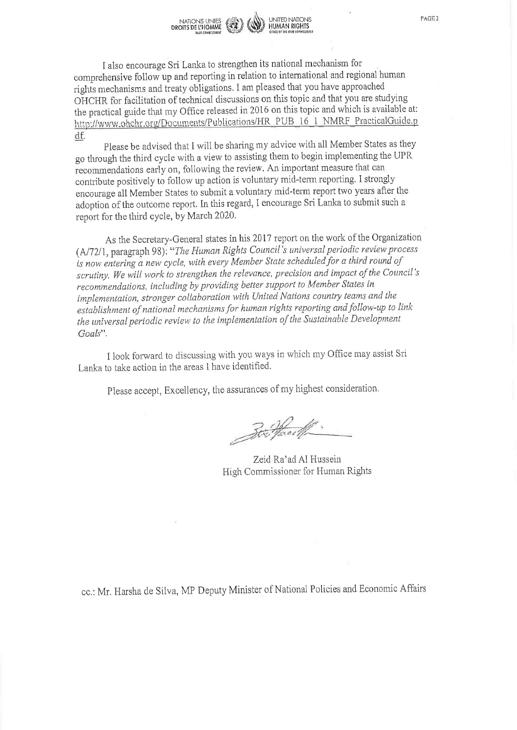

I also encourage Sri Lanka to strengthen its national mechanism for comprehensive follow up and reporting in relation to international and regional human rights mechanisms and treaty obligations. I am pleased that you have approached OHCHR for facilitation of tecbnical discussions on this topic and that you are studying the practical guide that my Office released in 2016 on this topic and which is available at: http://www.ohchr.org/Documents/Publications/HR PUB 16 1 NMRF PracticalGuide.p df.

Please be advised that <sup>I</sup> will be sharing my advice with all Member States as they go through the third cycle with a view to assisting them to begin implementing the UPR recommendations early on, following the review. An important measure that can contribute positively to follow up action is voluntary mid-term reporting. I strongly encourage all Member States to submit a voluntary mid-term report two years after the adoption of the outcome report. In this regard, I encourage Sri Lanka to submit such a report for the third cycle, by March 2020.

As the Secretary-General states in his <sup>2017</sup> report on the work of the Organization (A/72/1, paragraph 98): "The Human Rights Council's universal periodic review process is now entering a new cycle, with every Member State scheduled for a third round of scrutiny. We will work to strengthen the relevance, precision and impact of the Council's recommendations, including by providing better support to Member States in implementation, stronger collaboration with United Nations country teams and the establishment of national mechanisms for human rights reporting and follow-up to link the universal periodic review to the implementation of the Sustainable Development Goals".

I look forward to discussing with you ways in which my Office may assist Sri Lanka to take action in the areas I have identified.

Please accept, Excellency, the assurances of my highest consideration.

Bookback .

Zeid Ra'ad Al Hussein High Commissioner for Human Rights

cc.: Mr. Harsha de Silva, MP Deputy Minister of National Policies and Economic Affairs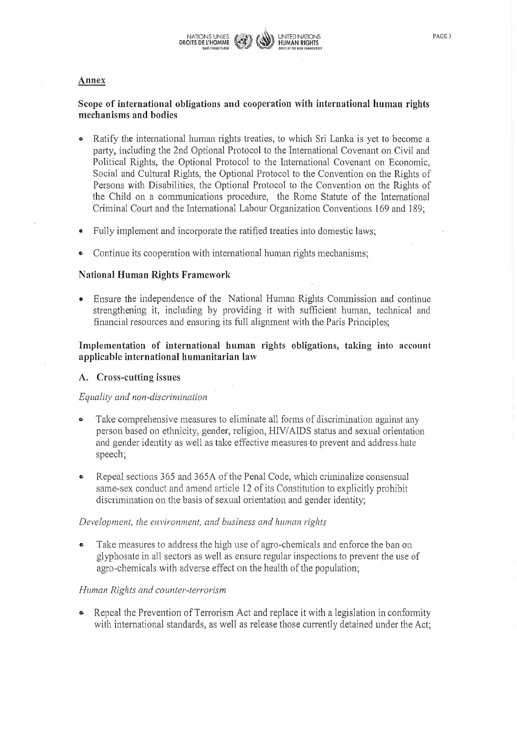

## Annex

## Scope of international obligations and cooperation with international human rights mechanisms and bodies

- Ratify the international human rights treaties, to which Sri Lanka is yet to become a party, including the 2nd Optional Protocol to the International Covenant on Civil and Political Rights, the Optional Protocol to the International Covenant on Economic, Social and Cultural Rights, the Optional Protocol to the Convention on the Rights of Persons with Disabilities, the Optional Protocol to the Convention on the Rights of the Child on a communications procedure, the Rome Statute of the International Criminal Court and the International Labour Organization Conventions 169 and 189;
- Fully implement and incorporate the ratified treaties into domestic laws;
- Continue its cooperation with international human rights mechanisms;

#### National Human Rights Framework

• Ensure the independence of the National Human Rights Commission and continue strengthening it, including by providing it with sufficient human, technical and financial resources and ensuring its full alignment with the Paris Principles;

### Implementation of international human rights obligations, taking into account applicable international humanitarian law

#### A. Cross-cutting issues

#### Equality and non-discrimination

- Take comprehensive measures to eliminate all forms of discrimination against any person based on ethnicity, gender, religion, HIV/AIDS status and sexual orientation and gender identity as well as take effective measures to prevent and address hate speech;
- Repeal sections 365 and 365A of the Penal Code, which criminalize consensual same-sex conduct and amend article 12 of its Constitution to explicitly prohibit discrimination on the basis of sexual orientation and gender identity;

#### Development, the environment, and business and human rights

• Take measures to address the high use of agro-chemicals and enforce the ban on glyphosate in all sectors as well as ensure regular inspections to prevent the use of agro-chemicals with adverse effect on the health of the population;

#### Human Rights and counter-terrorism

• Repeal the Prevention of Terrorism Act and replace it with a legislation in conformity with international standards, as well as release those currently detained under the Act;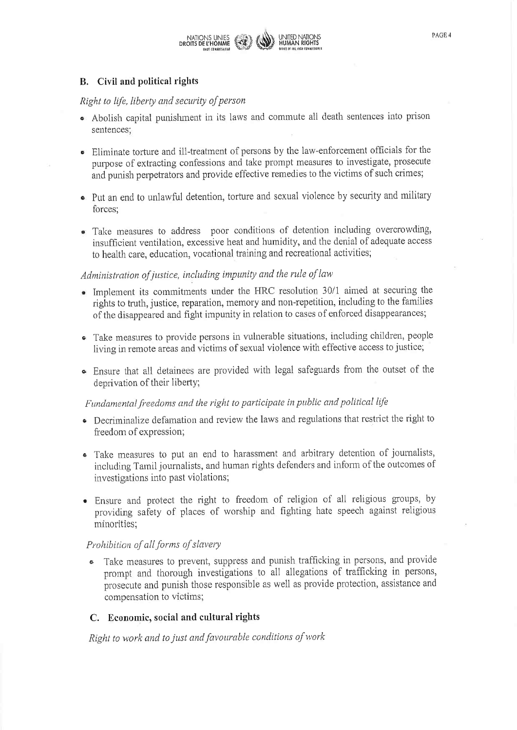

## **B.** Civil and political rights

#### Right to life, liberty and security of person

- Abolish capital punishment in its laws and commute all death sentences into prison sentences:
- Eliminate torture and ill-treatment of persons by the law-enforcement officials for the purpose of extracting confessions and take prompt measures to investigate, prosecute and punish perpetrators and provide effective remedies to the victims of such crimes;
- Put an end to unlawful detention, torture and sexual violence by security and military forces:
- Take measures to address poor conditions of detention including overcrowding, insufficient ventilation, excessive heat and humidity, and the denial of adequate access to health care, education, vocational training and recreational activities;

# Administration of justice, including impunity and the rule of law

- Implement its commitments under the HRC resolution 30/1 aimed at securing the rights to truth, justice, reparation, memory and non-repetition, including to the families of the disappeared and fight impunity in relation to cases of enforced disappearances;
- Take measures to provide persons in vulnerable situations, including children, people living in remote areas and victims of sexual violence with effective access to justice,
- Ensure that all detainees are provided with legal safeguards from the outset of the deprivation of their liberty;

# Fundamental freedoms and the right to participate in public and political life

- Decriminalize defamation and review the laws and regulations that restrict the right to freedom of expression;
- Take measures to put an end to harassment and arbitrary detention of journalists, including Tamil journalists, and human rights defenders and inform of the outcomes of investigations into past violations;
- Ensure and protect the right to freedom of religion of all religious groups, by providing safety of places of worship and fighting hate speech against religious minorities;

#### Prohibition of all forms of slavery

Take measures to prevent, suppress and punish trafficking in persons, and provide prompt and thorough investigations to all allegations of trafficking in persons, prosecute and punish those responsible as well as provide protection, assistance and compensation to victims;

## C. Economic, social and cultural rights

Right to work and to just and favourable conditions of work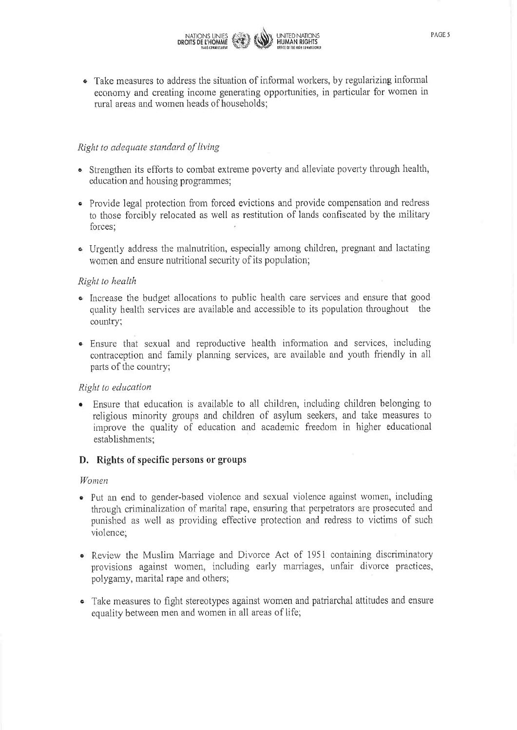

• Take measures to address the situation of informal workers, by regularizing informal economy and creating income generating opportunities, in particular for women in rural areas and women heads of households;

## Right to adequate standard of living

- Strengthen its efforts to combat extreme poverty and alleviate poverty through health, education and housing programmes;
- Provide legal protection from forced evictions and provide compensation and redress to those forcibly relocated as well as restitution of lands confiscated by the military forces:
- Urgently address the malnutrition, especially among children, pregnant and lactating women and ensure nutritional security of its population;

## Right to health

- Increase the budget allocations to public health care services and ensure that good quality health services are available and accessible to its population throughout the country:
- Ensure that sexual and reproductive health information and services, including contraception and family planning services, are available and youth friendly in all parts of the country;

## Right to education

• Ensure that education is available to all children, including children belonging to religious minority groups and children of asylum seekers, and take measures to improve the quality of education and academic freedom in higher educational establishments;

## D. Rights of specific persons or groups

## Women

- Put an end to gender-based violence and sexual violence against women, including through criminalization of marital rape, ensuring that perpetrators are prosecuted and punished as well as providing effective protection and redress to victims of such violence;
- Review the Muslim Marriage and Divorce Act of 1951 containing discriminatory provisions against women, including early marriages, unfair divorce practices, polygamy, marital rape and others;
- Take measures to fight stereotypes against women and patriarchal attitudes and ensure equality between men and women in all areas of life;